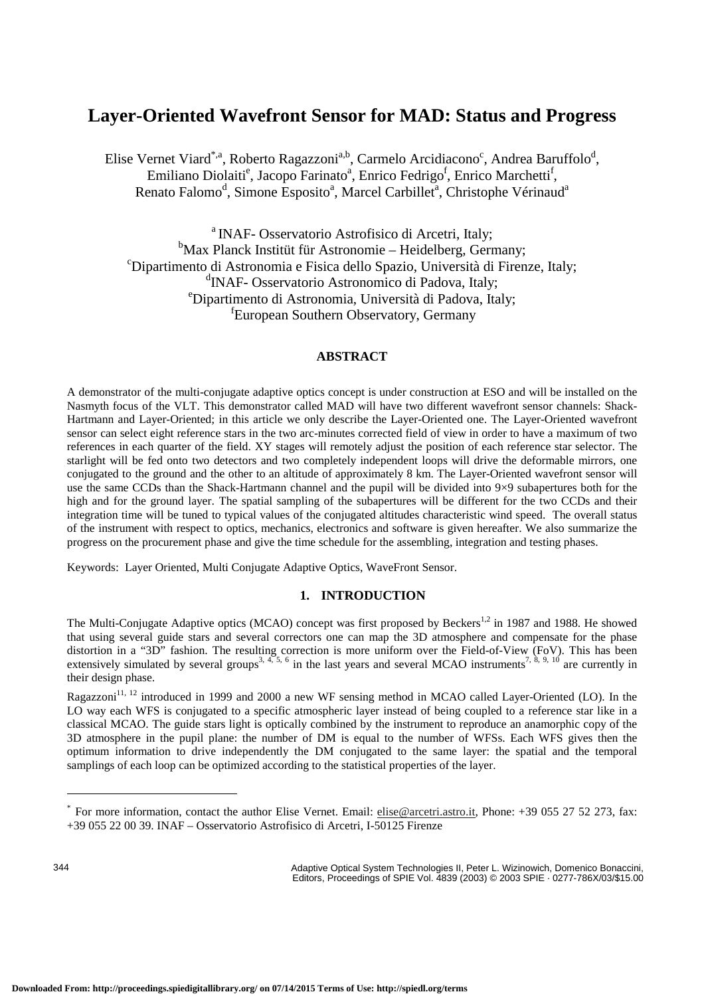# **Layer-Oriented Wavefront Sensor for MAD: Status and Progress**

Elise Vernet Viard<sup>\*,a</sup>, Roberto Ragazzoni<sup>a,b</sup>, Carmelo Arcidiacono<sup>c</sup>, Andrea Baruffolo<sup>d</sup>, Emiliano Diolaiti<sup>e</sup>, Jacopo Farinato<sup>a</sup>, Enrico Fedrigo<sup>f</sup>, Enrico Marchetti<sup>f</sup>, Renato Falomo<sup>d</sup>, Simone Esposito<sup>a</sup>, Marcel Carbillet<sup>a</sup>, Christophe Vérinaud<sup>a</sup>

<sup>a</sup> INAF- Osservatorio Astrofisico di Arcetri, Italy; <sup>b</sup>Max Planck Institüt für Astronomie – Heidelberg, Germany; <sup>c</sup>Dipartimento di Astronomia e Fisica dello Spazio, Università di Firenze, Italy;<br><sup>d</sup>INAE Osservatorio Astronomiae di Pedeve Italy; <sup>d</sup>INAF- Osservatorio Astronomico di Padova, Italy; e Dipartimento di Astronomia, Università di Padova, Italy; fEuropean Southern Observatory, Germany

## **ABSTRACT**

A demonstrator of the multi-conjugate adaptive optics concept is under construction at ESO and will be installed on the Nasmyth focus of the VLT. This demonstrator called MAD will have two different wavefront sensor channels: Shack-Hartmann and Layer-Oriented; in this article we only describe the Layer-Oriented one. The Layer-Oriented wavefront sensor can select eight reference stars in the two arc-minutes corrected field of view in order to have a maximum of two references in each quarter of the field. XY stages will remotely adjust the position of each reference star selector. The starlight will be fed onto two detectors and two completely independent loops will drive the deformable mirrors, one conjugated to the ground and the other to an altitude of approximately 8 km. The Layer-Oriented wavefront sensor will use the same CCDs than the Shack-Hartmann channel and the pupil will be divided into 9×9 subapertures both for the high and for the ground layer. The spatial sampling of the subapertures will be different for the two CCDs and their integration time will be tuned to typical values of the conjugated altitudes characteristic wind speed. The overall status of the instrument with respect to optics, mechanics, electronics and software is given hereafter. We also summarize the progress on the procurement phase and give the time schedule for the assembling, integration and testing phases.

Keywords: Layer Oriented, Multi Conjugate Adaptive Optics, WaveFront Sensor.

## **1. INTRODUCTION**

The Multi-Conjugate Adaptive optics (MCAO) concept was first proposed by Beckers<sup>1,2</sup> in 1987 and 1988. He showed that using several guide stars and several correctors one can map the 3D atmosphere and compensate for the phase distortion in a "3D" fashion. The resulting correction is more uniform over the Field-of-View (FoV). This has been extensively simulated by several groups<sup>3, 4, 5, 6</sup> in the last years and several MCAO instruments<sup>7, 8, 9, 10</sup> are currently in their design phase.

Ragazzoni<sup>11, 12</sup> introduced in 1999 and 2000 a new WF sensing method in MCAO called Layer-Oriented (LO). In the LO way each WFS is conjugated to a specific atmospheric layer instead of being coupled to a reference star like in a classical MCAO. The guide stars light is optically combined by the instrument to reproduce an anamorphic copy of the 3D atmosphere in the pupil plane: the number of DM is equal to the number of WFSs. Each WFS gives then the optimum information to drive independently the DM conjugated to the same layer: the spatial and the temporal samplings of each loop can be optimized according to the statistical properties of the layer.

344

Adaptive Optical System Technologies II, Peter L. Wizinowich, Domenico Bonaccini, Editors, Proceedings of SPIE Vol. 4839 (2003) © 2003 SPIE · 0277-786X/03/\$15.00

For more information, contact the author Elise Vernet. Email: elise@arcetri.astro.it, Phone: +39 055 27 52 273, fax:

<sup>+39 055 22 00 39.</sup> INAF – Osservatorio Astrofisico di Arcetri, I-50125 Firenze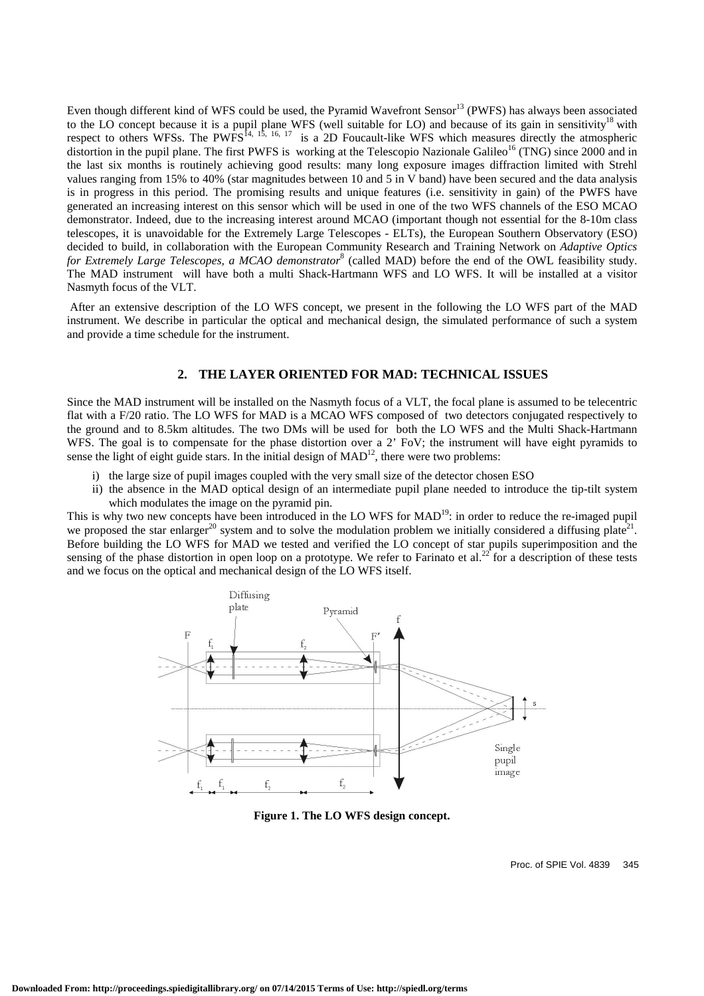Even though different kind of WFS could be used, the Pyramid Wavefront Sensor<sup>13</sup> (PWFS) has always been associated to the LO concept because it is a pupil plane WFS (well suitable for LO) and because of its gain in sensitivity<sup>18</sup> with respect to others WFSs. The PWFS<sup>14, 15, 16, 17</sup> is a 2D Foucault-like WFS which measures directly the atmospheric distortion in the pupil plane. The first PWFS is working at the Telescopio Nazionale Galileo<sup>16</sup> (TNG) since 2000 and in the last six months is routinely achieving good results: many long exposure images diffraction limited with Strehl values ranging from 15% to 40% (star magnitudes between 10 and 5 in V band) have been secured and the data analysis is in progress in this period. The promising results and unique features (i.e. sensitivity in gain) of the PWFS have generated an increasing interest on this sensor which will be used in one of the two WFS channels of the ESO MCAO demonstrator. Indeed, due to the increasing interest around MCAO (important though not essential for the 8-10m class telescopes, it is unavoidable for the Extremely Large Telescopes - ELTs), the European Southern Observatory (ESO) decided to build, in collaboration with the European Community Research and Training Network on *Adaptive Optics for Extremely Large Telescopes, a MCAO demonstrator*<sup>8</sup> (called MAD) before the end of the OWL feasibility study. The MAD instrument will have both a multi Shack-Hartmann WFS and LO WFS. It will be installed at a visitor Nasmyth focus of the VLT.

 After an extensive description of the LO WFS concept, we present in the following the LO WFS part of the MAD instrument. We describe in particular the optical and mechanical design, the simulated performance of such a system and provide a time schedule for the instrument.

# **2. THE LAYER ORIENTED FOR MAD: TECHNICAL ISSUES**

Since the MAD instrument will be installed on the Nasmyth focus of a VLT, the focal plane is assumed to be telecentric flat with a F/20 ratio. The LO WFS for MAD is a MCAO WFS composed of two detectors conjugated respectively to the ground and to 8.5km altitudes. The two DMs will be used for both the LO WFS and the Multi Shack-Hartmann WFS. The goal is to compensate for the phase distortion over a 2' FoV; the instrument will have eight pyramids to sense the light of eight guide stars. In the initial design of  $MAD<sup>12</sup>$ , there were two problems:

- i) the large size of pupil images coupled with the very small size of the detector chosen ESO
- ii) the absence in the MAD optical design of an intermediate pupil plane needed to introduce the tip-tilt system which modulates the image on the pyramid pin.

This is why two new concepts have been introduced in the LO WFS for MAD<sup>19</sup>: in order to reduce the re-imaged pupil we proposed the star enlarger<sup>20</sup> system and to solve the modulation problem we initially considered a diffusing plate<sup>21</sup>. Before building the LO WFS for MAD we tested and verified the LO concept of star pupils superimposition and the sensing of the phase distortion in open loop on a prototype. We refer to Farinato et al.<sup>22</sup> for a description of these tests and we focus on the optical and mechanical design of the LO WFS itself.



**Figure 1. The LO WFS design concept.**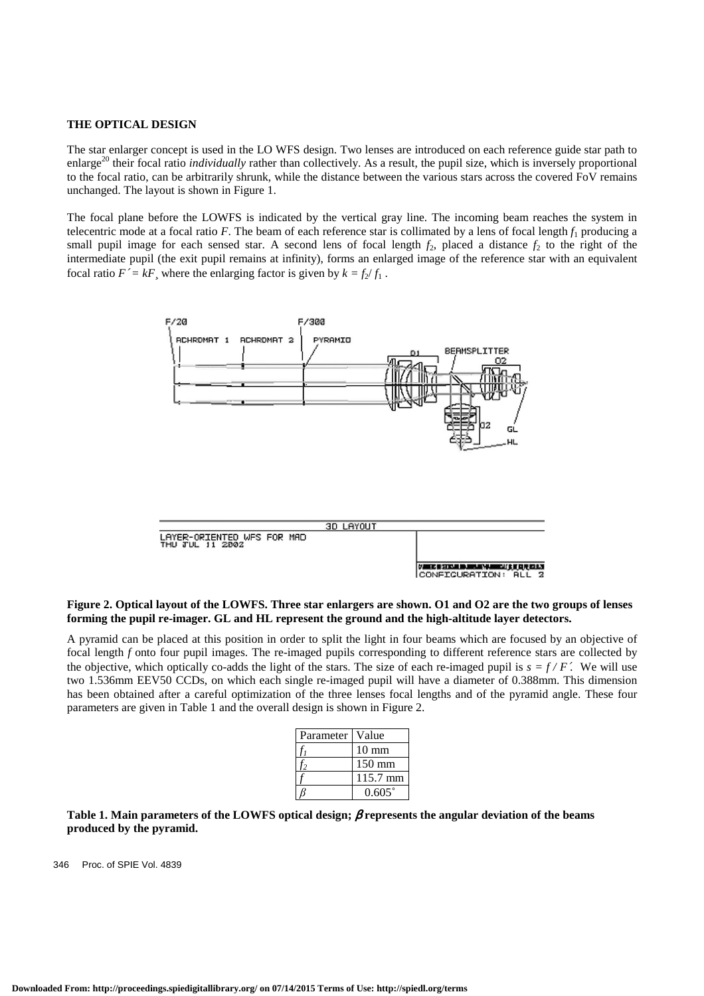#### **THE OPTICAL DESIGN**

The star enlarger concept is used in the LO WFS design. Two lenses are introduced on each reference guide star path to enlarge<sup>20</sup> their focal ratio *individually* rather than collectively. As a result, the pupil size, which is inversely proportional to the focal ratio, can be arbitrarily shrunk, while the distance between the various stars across the covered FoV remains unchanged. The layout is shown in Figure 1.

The focal plane before the LOWFS is indicated by the vertical gray line. The incoming beam reaches the system in telecentric mode at a focal ratio  $F$ . The beam of each reference star is collimated by a lens of focal length  $f_1$  producing a small pupil image for each sensed star. A second lens of focal length  $f_2$ , placed a distance  $f_2$  to the right of the intermediate pupil (the exit pupil remains at infinity), forms an enlarged image of the reference star with an equivalent focal ratio  $F' = kF$ , where the enlarging factor is given by  $k = f_2/f_1$ .



### **Figure 2. Optical layout of the LOWFS. Three star enlargers are shown. O1 and O2 are the two groups of lenses forming the pupil re-imager. GL and HL represent the ground and the high-altitude layer detectors.**

A pyramid can be placed at this position in order to split the light in four beams which are focused by an objective of focal length *f* onto four pupil images. The re-imaged pupils corresponding to different reference stars are collected by the objective, which optically co-adds the light of the stars. The size of each re-imaged pupil is  $s = f/F'$ . We will use two 1.536mm EEV50 CCDs, on which each single re-imaged pupil will have a diameter of 0.388mm. This dimension has been obtained after a careful optimization of the three lenses focal lengths and of the pyramid angle. These four parameters are given in Table 1 and the overall design is shown in Figure 2.

| Parameter | Value              |
|-----------|--------------------|
|           | $10 \text{ mm}$    |
|           | $150 \text{ mm}$   |
|           | $115.7 \text{ mm}$ |
|           | $0.605^{\circ}$    |

**Table 1. Main parameters of the LOWFS optical design;** β **represents the angular deviation of the beams produced by the pyramid.**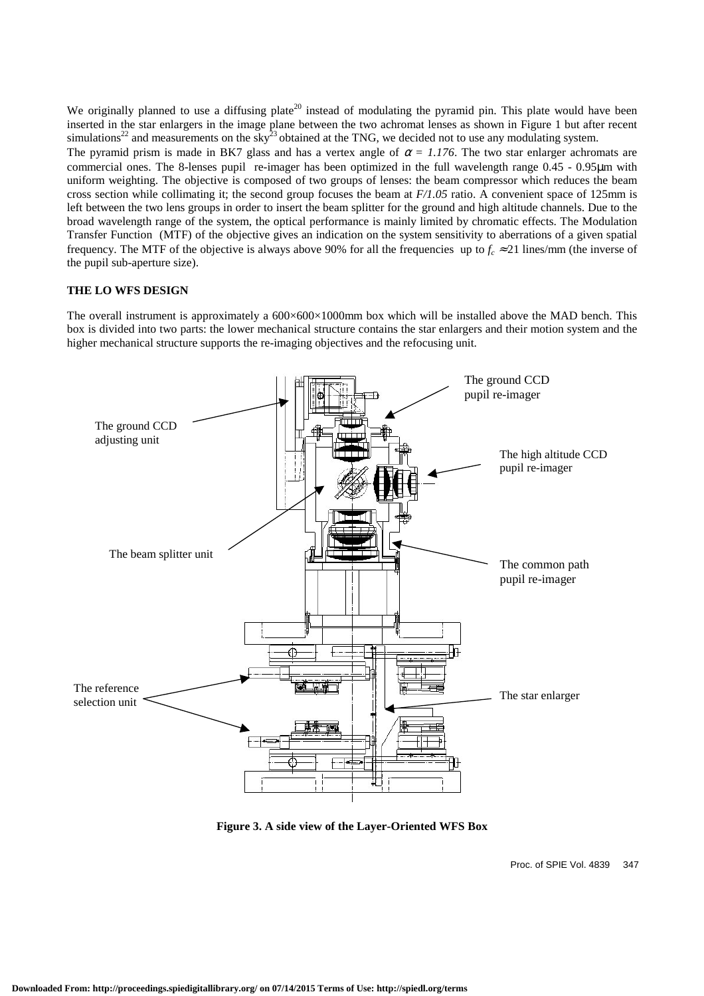We originally planned to use a diffusing plate<sup>20</sup> instead of modulating the pyramid pin. This plate would have been inserted in the star enlargers in the image plane between the two achromat lenses as shown in Figure 1 but after recent simulations<sup>22</sup> and measurements on the sky<sup>23</sup> obtained at the TNG, we decided not to use any modulating system.

The pyramid prism is made in BK7 glass and has a vertex angle of  $\alpha = 1.176$ . The two star enlarger achromats are commercial ones. The 8-lenses pupil re-imager has been optimized in the full wavelength range 0.45 - 0.95µm with uniform weighting. The objective is composed of two groups of lenses: the beam compressor which reduces the beam cross section while collimating it; the second group focuses the beam at *F/1.05* ratio. A convenient space of 125mm is left between the two lens groups in order to insert the beam splitter for the ground and high altitude channels. Due to the broad wavelength range of the system, the optical performance is mainly limited by chromatic effects. The Modulation Transfer Function (MTF) of the objective gives an indication on the system sensitivity to aberrations of a given spatial frequency. The MTF of the objective is always above 90% for all the frequencies up to  $f_c \approx 21$  lines/mm (the inverse of the pupil sub-aperture size).

## **THE LO WFS DESIGN**

The overall instrument is approximately a 600×600×1000mm box which will be installed above the MAD bench. This box is divided into two parts: the lower mechanical structure contains the star enlargers and their motion system and the higher mechanical structure supports the re-imaging objectives and the refocusing unit.



**Figure 3. A side view of the Layer-Oriented WFS Box**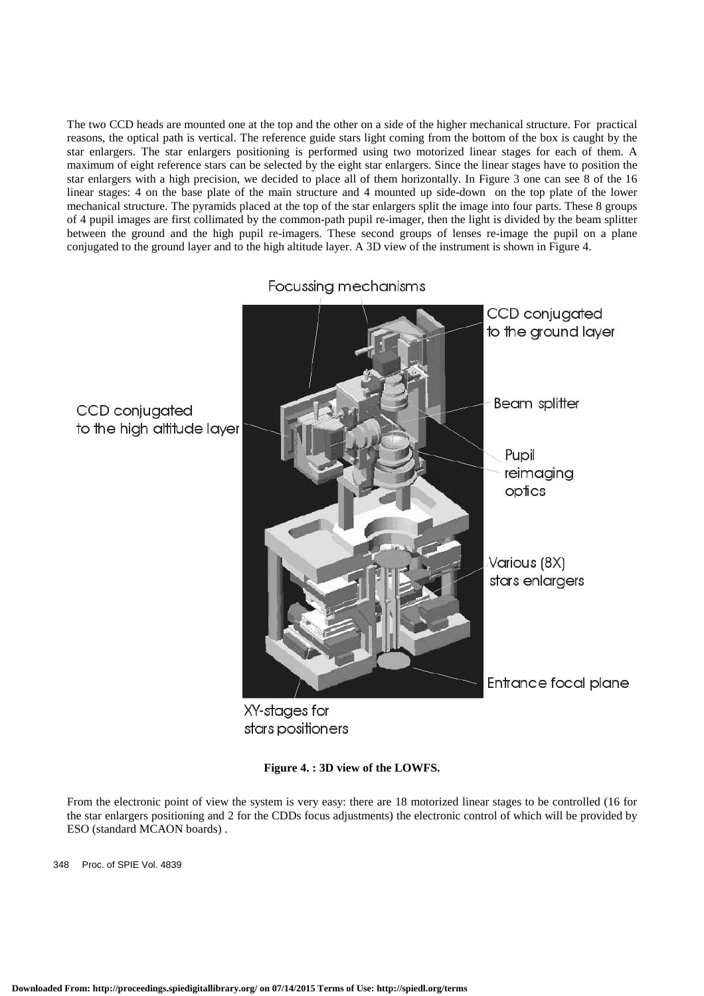The two CCD heads are mounted one at the top and the other on a side of the higher mechanical structure. For practical reasons, the optical path is vertical. The reference guide stars light coming from the bottom of the box is caught by the star enlargers. The star enlargers positioning is performed using two motorized linear stages for each of them. A maximum of eight reference stars can be selected by the eight star enlargers. Since the linear stages have to position the star enlargers with a high precision, we decided to place all of them horizontally. In Figure 3 one can see 8 of the 16 linear stages: 4 on the base plate of the main structure and 4 mounted up side-down on the top plate of the lower mechanical structure. The pyramids placed at the top of the star enlargers split the image into four parts. These 8 groups of 4 pupil images are first collimated by the common-path pupil re-imager, then the light is divided by the beam splitter between the ground and the high pupil re-imagers. These second groups of lenses re-image the pupil on a plane conjugated to the ground layer and to the high altitude layer. A 3D view of the instrument is shown in Figure 4.

Focussing mechanisms

CCD conjugated to the ground layer **Beam** splitter CCD conjugated to the high altitude layer Pupil reimaging optics Various (8X) stars enlargers Entrance focal plane

XY-stages for stars positioners

**Figure 4. : 3D view of the LOWFS.** 

From the electronic point of view the system is very easy: there are 18 motorized linear stages to be controlled (16 for the star enlargers positioning and 2 for the CDDs focus adjustments) the electronic control of which will be provided by ESO (standard MCAON boards) .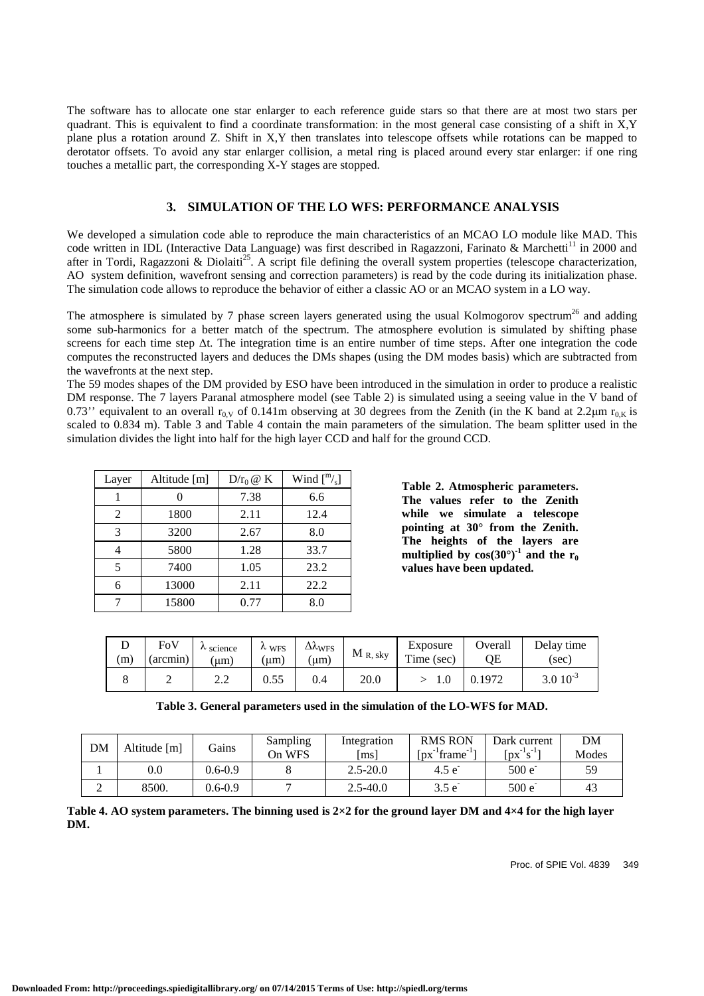The software has to allocate one star enlarger to each reference guide stars so that there are at most two stars per quadrant. This is equivalent to find a coordinate transformation: in the most general case consisting of a shift in  $X, Y$ plane plus a rotation around Z. Shift in X,Y then translates into telescope offsets while rotations can be mapped to derotator offsets. To avoid any star enlarger collision, a metal ring is placed around every star enlarger: if one ring touches a metallic part, the corresponding X-Y stages are stopped.

# **3. SIMULATION OF THE LO WFS: PERFORMANCE ANALYSIS**

We developed a simulation code able to reproduce the main characteristics of an MCAO LO module like MAD. This code written in IDL (Interactive Data Language) was first described in Ragazzoni, Farinato & Marchetti<sup>11</sup> in 2000 and after in Tordi, Ragazzoni & Diolaiti<sup>25</sup>. A script file defining the overall system properties (telescope characterization, AO system definition, wavefront sensing and correction parameters) is read by the code during its initialization phase. The simulation code allows to reproduce the behavior of either a classic AO or an MCAO system in a LO way.

The atmosphere is simulated by 7 phase screen layers generated using the usual Kolmogorov spectrum<sup>26</sup> and adding some sub-harmonics for a better match of the spectrum. The atmosphere evolution is simulated by shifting phase screens for each time step ∆t. The integration time is an entire number of time steps. After one integration the code computes the reconstructed layers and deduces the DMs shapes (using the DM modes basis) which are subtracted from the wavefronts at the next step.

The 59 modes shapes of the DM provided by ESO have been introduced in the simulation in order to produce a realistic DM response. The 7 layers Paranal atmosphere model (see Table 2) is simulated using a seeing value in the V band of 0.73" equivalent to an overall r<sub>0</sub> v of 0.141m observing at 30 degrees from the Zenith (in the K band at 2.2 $\mu$ m r<sub>0 K</sub> is scaled to 0.834 m). Table 3 and Table 4 contain the main parameters of the simulation. The beam splitter used in the simulation divides the light into half for the high layer CCD and half for the ground CCD.

| Layer | Altitude [m] | $D/r_0 \otimes K$ | Wind $\binom{m}{s}$ |
|-------|--------------|-------------------|---------------------|
|       |              | 7.38              | 6.6                 |
| 2     | 1800         | 2.11              | 12.4                |
| 3     | 3200         | 2.67              | 8.0                 |
|       | 5800         | 1.28              | 33.7                |
| 5     | 7400         | 1.05              | 23.2                |
| 6     | 13000        | 2.11              | 22.2                |
|       | 15800        | 0.77              | 8.0                 |

**Table 2. Atmospheric parameters. The values refer to the Zenith while we simulate a telescope pointing at 30° from the Zenith. The heights of the layers are multiplied** by  $cos(30^\circ)^{-1}$  and the r<sub>0</sub> **values have been updated.** 

| (m) | FoV<br>(arcmin) | $\lambda$ science<br>[um | $\lambda$ WFS<br>um) | $\Delta \Lambda_{WFS}$<br>um) | $M_{R, sky}$ | Exposure<br>m.<br>Time (sec) | Overall | Delay time<br>(sec) |  |
|-----|-----------------|--------------------------|----------------------|-------------------------------|--------------|------------------------------|---------|---------------------|--|
|     |                 | ,,,,                     | 0.55                 | 0.4                           | 20.0         |                              | 0.1972  | $3.0\ 10^{-3}$      |  |

|  |  |  | Table 3. General parameters used in the simulation of the LO-WFS for MAD. |
|--|--|--|---------------------------------------------------------------------------|
|--|--|--|---------------------------------------------------------------------------|

| DM | Altitude [m] | Gains       | Sampling<br>On WFS | Integration<br>[ms] | <b>RMS RON</b><br>$\lceil px^{-1}$ frame | Dark current<br>$\lceil px^{-1}S^{-1}\rceil$ | DM<br>Modes |
|----|--------------|-------------|--------------------|---------------------|------------------------------------------|----------------------------------------------|-------------|
|    | $0.0\,$      | $0.6 - 0.9$ |                    | $2.5 - 20.0$        | 4.5 e                                    | 500 e                                        | 59          |
| ∸  | 8500.        | $0.6 - 0.9$ |                    | $2.5 - 40.0$        | $3.5 e^-$                                | $500 e^{-}$                                  | 43          |

**Table 4. AO system parameters. The binning used is 2×2 for the ground layer DM and 4×4 for the high layer DM.**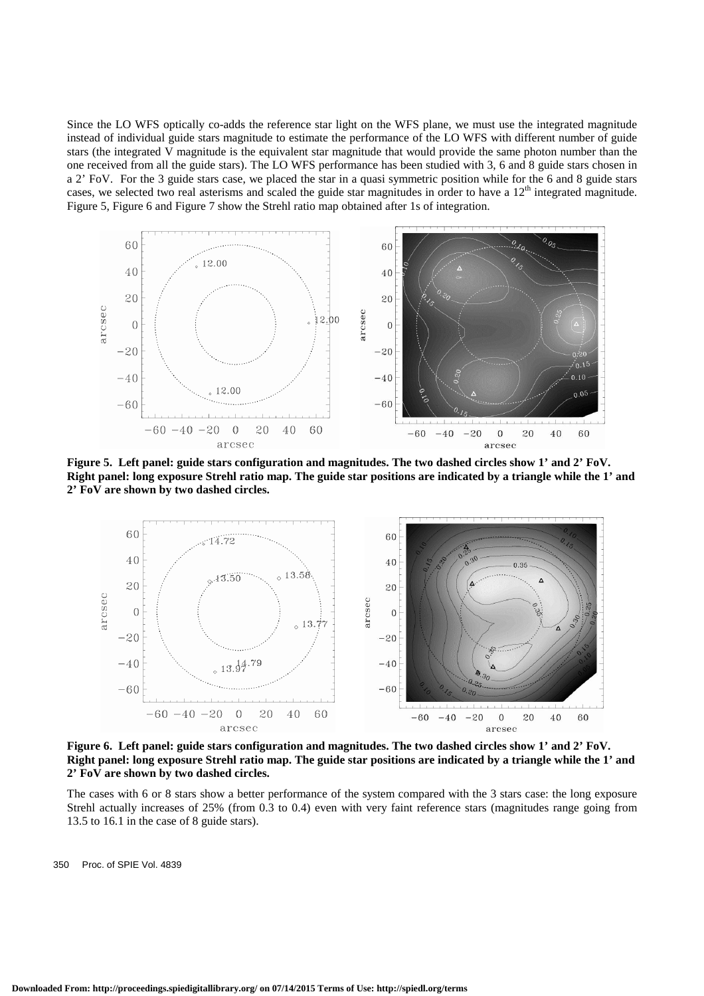Since the LO WFS optically co-adds the reference star light on the WFS plane, we must use the integrated magnitude instead of individual guide stars magnitude to estimate the performance of the LO WFS with different number of guide stars (the integrated V magnitude is the equivalent star magnitude that would provide the same photon number than the one received from all the guide stars). The LO WFS performance has been studied with 3, 6 and 8 guide stars chosen in a 2' FoV. For the 3 guide stars case, we placed the star in a quasi symmetric position while for the 6 and 8 guide stars cases, we selected two real asterisms and scaled the guide star magnitudes in order to have a 12<sup>th</sup> integrated magnitude. Figure 5, Figure 6 and Figure 7 show the Strehl ratio map obtained after 1s of integration.



**Figure 5. Left panel: guide stars configuration and magnitudes. The two dashed circles show 1' and 2' FoV. Right panel: long exposure Strehl ratio map. The guide star positions are indicated by a triangle while the 1' and 2' FoV are shown by two dashed circles.** 



**Figure 6. Left panel: guide stars configuration and magnitudes. The two dashed circles show 1' and 2' FoV. Right panel: long exposure Strehl ratio map. The guide star positions are indicated by a triangle while the 1' and 2' FoV are shown by two dashed circles.** 

The cases with 6 or 8 stars show a better performance of the system compared with the 3 stars case: the long exposure Strehl actually increases of 25% (from 0.3 to 0.4) even with very faint reference stars (magnitudes range going from 13.5 to 16.1 in the case of 8 guide stars).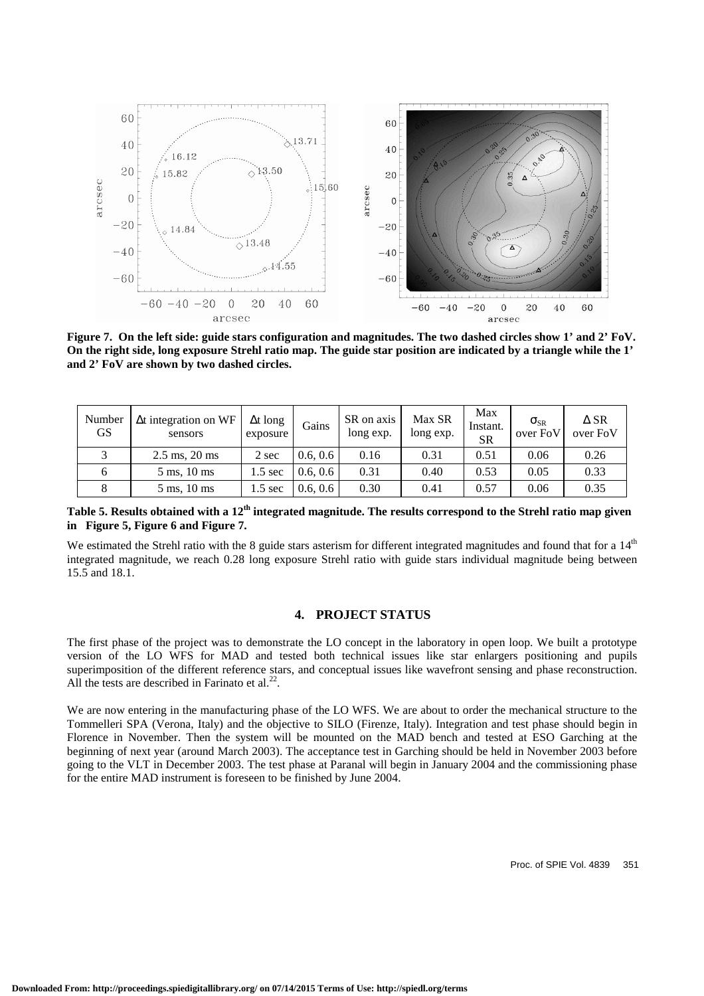

**Figure 7. On the left side: guide stars configuration and magnitudes. The two dashed circles show 1' and 2' FoV. On the right side, long exposure Strehl ratio map. The guide star position are indicated by a triangle while the 1' and 2' FoV are shown by two dashed circles.** 

| Number<br>GS. | $\Delta t$ integration on WF<br>sensors | $\Delta t$ long<br>exposure | Gains    | SR on axis<br>long exp. | Max SR<br>long exp. | Max<br>Instant.<br><b>SR</b> | $\sigma_{\rm SR}$<br>over FoV | $\Delta$ SR<br>over FoV |
|---------------|-----------------------------------------|-----------------------------|----------|-------------------------|---------------------|------------------------------|-------------------------------|-------------------------|
| $\mathbf{R}$  | $2.5 \text{ ms}, 20 \text{ ms}$         | 2 sec                       | 0.6, 0.6 | 0.16                    | 0.31                | 0.51                         | 0.06                          | 0.26                    |
|               | $5 \text{ ms}$ , $10 \text{ ms}$        | .5 sec                      | 0.6, 0.6 | 0.31                    | 0.40                | 0.53                         | 0.05                          | 0.33                    |
|               | $5 \text{ ms}, 10 \text{ ms}$           | $1.5 \text{ sec}$           | 0.6, 0.6 | 0.30                    | 0.41                | 0.57                         | 0.06                          | 0.35                    |

**Table 5. Results obtained with a 12th integrated magnitude. The results correspond to the Strehl ratio map given in Figure 5, Figure 6 and Figure 7.** 

We estimated the Strehl ratio with the 8 guide stars asterism for different integrated magnitudes and found that for a  $14<sup>th</sup>$ integrated magnitude, we reach 0.28 long exposure Strehl ratio with guide stars individual magnitude being between 15.5 and 18.1.

# **4. PROJECT STATUS**

The first phase of the project was to demonstrate the LO concept in the laboratory in open loop. We built a prototype version of the LO WFS for MAD and tested both technical issues like star enlargers positioning and pupils superimposition of the different reference stars, and conceptual issues like wavefront sensing and phase reconstruction. All the tests are described in Farinato et al. $22$ .

We are now entering in the manufacturing phase of the LO WFS. We are about to order the mechanical structure to the Tommelleri SPA (Verona, Italy) and the objective to SILO (Firenze, Italy). Integration and test phase should begin in Florence in November. Then the system will be mounted on the MAD bench and tested at ESO Garching at the beginning of next year (around March 2003). The acceptance test in Garching should be held in November 2003 before going to the VLT in December 2003. The test phase at Paranal will begin in January 2004 and the commissioning phase for the entire MAD instrument is foreseen to be finished by June 2004.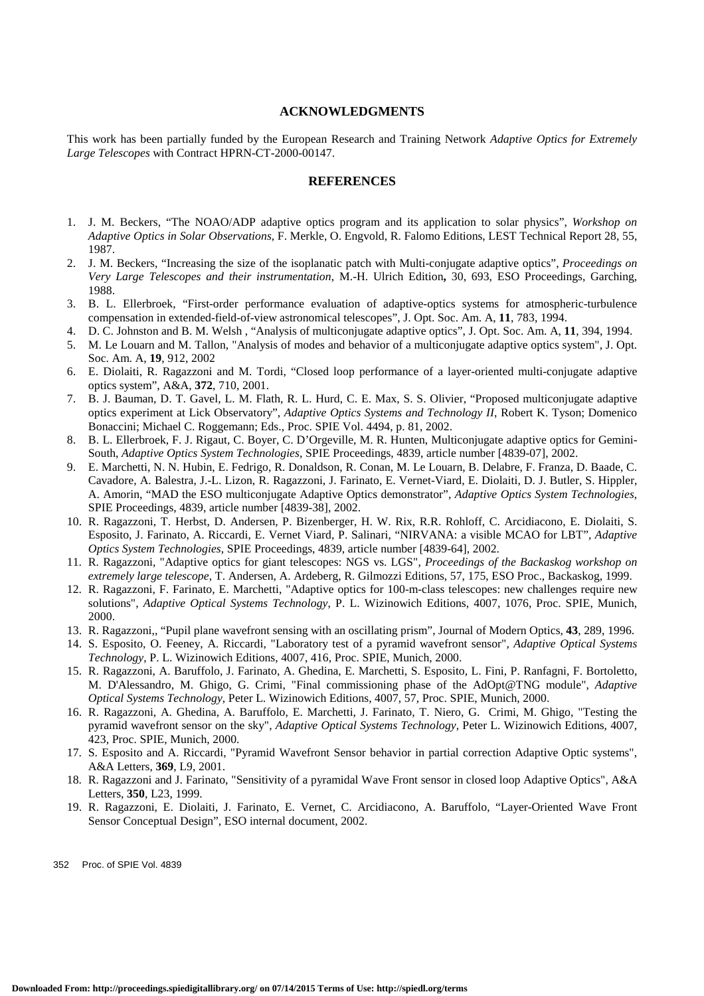### **ACKNOWLEDGMENTS**

This work has been partially funded by the European Research and Training Network *Adaptive Optics for Extremely Large Telescopes* with Contract HPRN-CT-2000-00147.

#### **REFERENCES**

- 1. J. M. Beckers, "The NOAO/ADP adaptive optics program and its application to solar physics", *Workshop on Adaptive Optics in Solar Observations*, F. Merkle, O. Engvold, R. Falomo Editions, LEST Technical Report 28, 55, 1987.
- 2. J. M. Beckers, "Increasing the size of the isoplanatic patch with Multi-conjugate adaptive optics", *Proceedings on Very Large Telescopes and their instrumentation*, M.-H. Ulrich Edition**,** 30, 693, ESO Proceedings, Garching, 1988.
- 3. B. L. Ellerbroek, "First-order performance evaluation of adaptive-optics systems for atmospheric-turbulence compensation in extended-field-of-view astronomical telescopes", J. Opt. Soc. Am. A, **11**, 783, 1994.
- 4. D. C. Johnston and B. M. Welsh , "Analysis of multiconjugate adaptive optics", J. Opt. Soc. Am. A, **11**, 394, 1994.
- 5. M. Le Louarn and M. Tallon, "Analysis of modes and behavior of a multiconjugate adaptive optics system", J. Opt. Soc. Am. A, **19**, 912, 2002
- 6. E. Diolaiti, R. Ragazzoni and M. Tordi, "Closed loop performance of a layer-oriented multi-conjugate adaptive optics system", A&A, **372**, 710, 2001.
- 7. B. J. Bauman, D. T. Gavel, L. M. Flath, R. L. Hurd, C. E. Max, S. S. Olivier, "Proposed multiconjugate adaptive optics experiment at Lick Observatory", *Adaptive Optics Systems and Technology II*, Robert K. Tyson; Domenico Bonaccini; Michael C. Roggemann; Eds., Proc. SPIE Vol. 4494, p. 81, 2002.
- 8. B. L. Ellerbroek, F. J. Rigaut, C. Boyer, C. D'Orgeville, M. R. Hunten, Multiconjugate adaptive optics for Gemini-South, *Adaptive Optics System Technologies*, SPIE Proceedings, 4839, article number [4839-07], 2002.
- 9. E. Marchetti, N. N. Hubin, E. Fedrigo, R. Donaldson, R. Conan, M. Le Louarn, B. Delabre, F. Franza, D. Baade, C. Cavadore, A. Balestra, J.-L. Lizon, R. Ragazzoni, J. Farinato, E. Vernet-Viard, E. Diolaiti, D. J. Butler, S. Hippler, A. Amorin, "MAD the ESO multiconjugate Adaptive Optics demonstrator", *Adaptive Optics System Technologies*, SPIE Proceedings, 4839, article number [4839-38], 2002.
- 10. R. Ragazzoni, T. Herbst, D. Andersen, P. Bizenberger, H. W. Rix, R.R. Rohloff, C. Arcidiacono, E. Diolaiti, S. Esposito, J. Farinato, A. Riccardi, E. Vernet Viard, P. Salinari, "NIRVANA: a visible MCAO for LBT", *Adaptive Optics System Technologies*, SPIE Proceedings, 4839, article number [4839-64], 2002.
- 11. R. Ragazzoni, "Adaptive optics for giant telescopes: NGS vs. LGS", *Proceedings of the Backaskog workshop on extremely large telescope*, T. Andersen, A. Ardeberg, R. Gilmozzi Editions, 57, 175, ESO Proc., Backaskog, 1999.
- 12. R. Ragazzoni, F. Farinato, E. Marchetti, "Adaptive optics for 100-m-class telescopes: new challenges require new solutions", *Adaptive Optical Systems Technology*, P. L. Wizinowich Editions, 4007, 1076, Proc. SPIE, Munich, 2000.
- 13. R. Ragazzoni,, "Pupil plane wavefront sensing with an oscillating prism", Journal of Modern Optics, **43**, 289, 1996.
- 14. S. Esposito, O. Feeney, A. Riccardi, "Laboratory test of a pyramid wavefront sensor", *Adaptive Optical Systems Technology*, P. L. Wizinowich Editions, 4007, 416, Proc. SPIE, Munich, 2000.
- 15. R. Ragazzoni, A. Baruffolo, J. Farinato, A. Ghedina, E. Marchetti, S. Esposito, L. Fini, P. Ranfagni, F. Bortoletto, M. D'Alessandro, M. Ghigo, G. Crimi, "Final commissioning phase of the AdOpt@TNG module", *Adaptive Optical Systems Technology*, Peter L. Wizinowich Editions, 4007, 57, Proc. SPIE, Munich, 2000.
- 16. R. Ragazzoni, A. Ghedina, A. Baruffolo, E. Marchetti, J. Farinato, T. Niero, G. Crimi, M. Ghigo, "Testing the pyramid wavefront sensor on the sky", *Adaptive Optical Systems Technology*, Peter L. Wizinowich Editions, 4007, 423, Proc. SPIE, Munich, 2000.
- 17. S. Esposito and A. Riccardi, "Pyramid Wavefront Sensor behavior in partial correction Adaptive Optic systems", A&A Letters, **369**, L9, 2001.
- 18. R. Ragazzoni and J. Farinato, "Sensitivity of a pyramidal Wave Front sensor in closed loop Adaptive Optics", A&A Letters, **350**, L23, 1999.
- 19. R. Ragazzoni, E. Diolaiti, J. Farinato, E. Vernet, C. Arcidiacono, A. Baruffolo, "Layer-Oriented Wave Front Sensor Conceptual Design", ESO internal document, 2002.